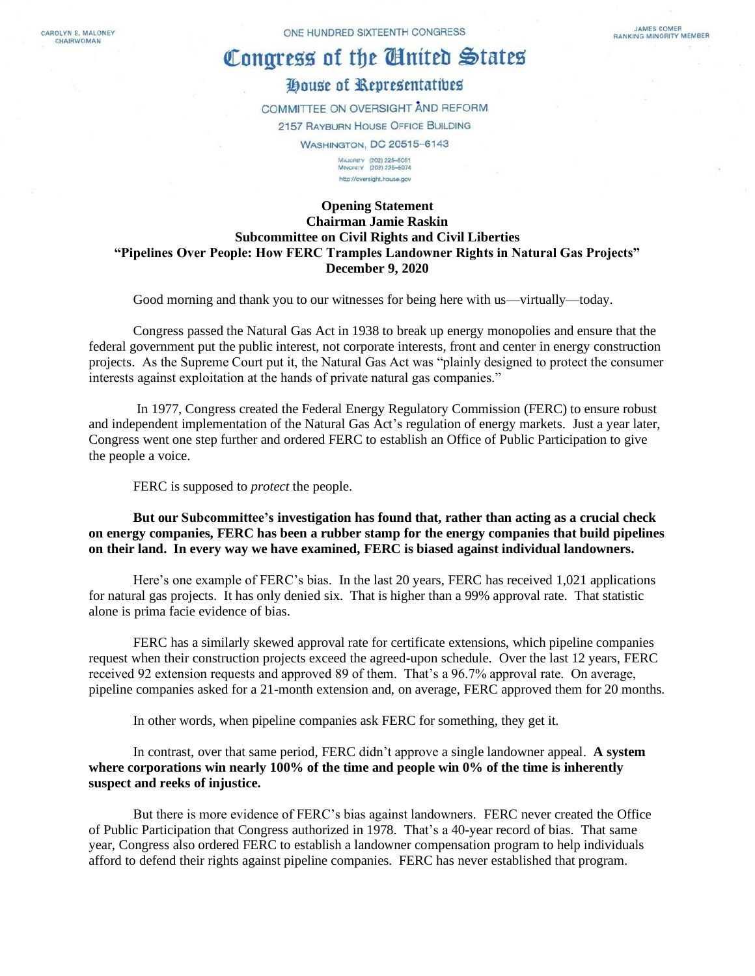CAROLYN B. MALONEY CHAIRWOMAN

## Congress of the Cinited States

## House of Representatives

COMMITTEE ON OVERSIGHT AND REFORM 2157 RAYBURN HOUSE OFFICE BUILDING **WASHINGTON, DC 20515-6143** MAJORITY (202) 225-5051<br>Minority (202) 225-5074

http://oversight.house.gov

## **[Opening Statement](https://oversight.house.gov/sites/democrats.oversight.house.gov/files/CBM%20Opening%20for%20Census%20Hearing%2012-03-20%20PRESS%20VERSION.pdf) Chairman Jamie Raskin Subcommittee on Civil Rights and Civil Liberties "Pipelines Over People: How FERC Tramples Landowner Rights in Natural Gas Projects" December 9, 2020**

Good morning and thank you to our witnesses for being here with us—virtually—today.

Congress passed the Natural Gas Act in 1938 to break up energy monopolies and ensure that the federal government put the public interest, not corporate interests, front and center in energy construction projects. As the Supreme Court put it, the Natural Gas Act was "plainly designed to protect the consumer interests against exploitation at the hands of private natural gas companies."

In 1977, Congress created the Federal Energy Regulatory Commission (FERC) to ensure robust and independent implementation of the Natural Gas Act's regulation of energy markets. Just a year later, Congress went one step further and ordered FERC to establish an Office of Public Participation to give the people a voice.

FERC is supposed to *protect* the people.

**But our Subcommittee's investigation has found that, rather than acting as a crucial check on energy companies, FERC has been a rubber stamp for the energy companies that build pipelines on their land. In every way we have examined, FERC is biased against individual landowners.**

Here's one example of FERC's bias. In the last 20 years, FERC has received 1,021 applications for natural gas projects. It has only denied six. That is higher than a 99% approval rate. That statistic alone is prima facie evidence of bias.

FERC has a similarly skewed approval rate for certificate extensions, which pipeline companies request when their construction projects exceed the agreed-upon schedule. Over the last 12 years, FERC received 92 extension requests and approved 89 of them. That's a 96.7% approval rate. On average, pipeline companies asked for a 21-month extension and, on average, FERC approved them for 20 months.

In other words, when pipeline companies ask FERC for something, they get it.

In contrast, over that same period, FERC didn't approve a single landowner appeal. **A system where corporations win nearly 100% of the time and people win 0% of the time is inherently suspect and reeks of injustice.** 

But there is more evidence of FERC's bias against landowners. FERC never created the Office of Public Participation that Congress authorized in 1978. That's a 40-year record of bias. That same year, Congress also ordered FERC to establish a landowner compensation program to help individuals afford to defend their rights against pipeline companies. FERC has never established that program.